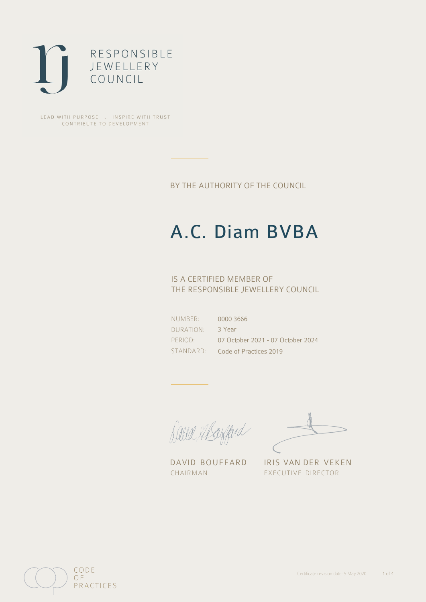

LEAD WITH PURPOSE . INSPIRE WITH TRUST CONTRIBUTE TO DEVELOPMENT

BY THE AUTHORITY OF THE COUNCIL

# A.C. Diam BVBA

## IS A CERTIFIED MEMBER OF THE RESPONSIBLE JEWELLERY COUNCIL

NUMBER: DURATION: PERIOD: STANDARD:

0000 3666 3 Year 07 October 2021 - 07 October 2024 Code of Practices 2019

Caux Margaret

DAVID BOUFFARD IRIS VAN DER VEKEN CHAIRMAN EXECUTIVE DIRECTOR

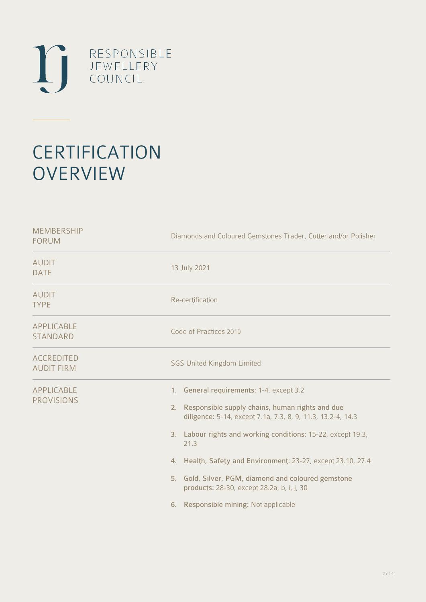

# **CERTIFICATION OVERVIEW**

| Diamonds and Coloured Gemstones Trader, Cutter and/or Polisher                                                                                                                                                                                                                                                                                                                                                                                            |
|-----------------------------------------------------------------------------------------------------------------------------------------------------------------------------------------------------------------------------------------------------------------------------------------------------------------------------------------------------------------------------------------------------------------------------------------------------------|
| 13 July 2021                                                                                                                                                                                                                                                                                                                                                                                                                                              |
| Re-certification                                                                                                                                                                                                                                                                                                                                                                                                                                          |
| Code of Practices 2019                                                                                                                                                                                                                                                                                                                                                                                                                                    |
| <b>SGS United Kingdom Limited</b>                                                                                                                                                                                                                                                                                                                                                                                                                         |
| 1. General requirements: 1-4, except 3.2<br>Responsible supply chains, human rights and due<br>2.<br>diligence: 5-14, except 7.1a, 7.3, 8, 9, 11.3, 13.2-4, 14.3<br>3. Labour rights and working conditions: 15-22, except 19.3,<br>21.3<br>4. Health, Safety and Environment: 23-27, except 23.10, 27.4<br>5. Gold, Silver, PGM, diamond and coloured gemstone<br>products: 28-30, except 28.2a, b, i, j, 30<br>Responsible mining: Not applicable<br>6. |
|                                                                                                                                                                                                                                                                                                                                                                                                                                                           |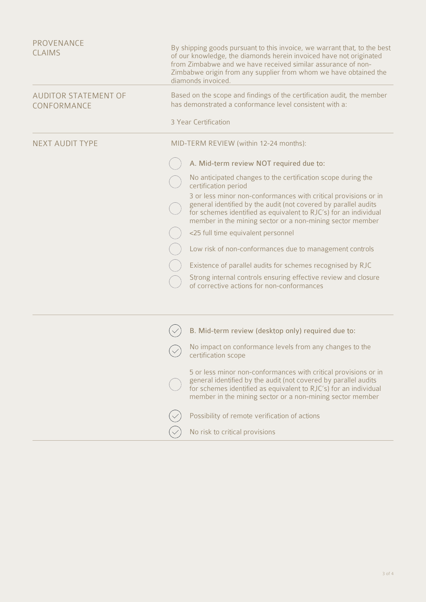| <b>PROVENANCE</b><br><b>CLAIMS</b>         | By shipping goods pursuant to this invoice, we warrant that, to the best<br>of our knowledge, the diamonds herein invoiced have not originated<br>from Zimbabwe and we have received similar assurance of non-<br>Zimbabwe origin from any supplier from whom we have obtained the<br>diamonds invoiced. |
|--------------------------------------------|----------------------------------------------------------------------------------------------------------------------------------------------------------------------------------------------------------------------------------------------------------------------------------------------------------|
| <b>AUDITOR STATEMENT OF</b><br>CONFORMANCE | Based on the scope and findings of the certification audit, the member<br>has demonstrated a conformance level consistent with a:                                                                                                                                                                        |
|                                            | 3 Year Certification                                                                                                                                                                                                                                                                                     |
| <b>NEXT AUDIT TYPE</b>                     | MID-TERM REVIEW (within 12-24 months):                                                                                                                                                                                                                                                                   |
|                                            | A. Mid-term review NOT required due to:                                                                                                                                                                                                                                                                  |
|                                            | No anticipated changes to the certification scope during the<br>certification period                                                                                                                                                                                                                     |
|                                            | 3 or less minor non-conformances with critical provisions or in<br>general identified by the audit (not covered by parallel audits<br>for schemes identified as equivalent to RJC's) for an individual<br>member in the mining sector or a non-mining sector member                                      |
|                                            | <25 full time equivalent personnel                                                                                                                                                                                                                                                                       |
|                                            | Low risk of non-conformances due to management controls                                                                                                                                                                                                                                                  |
|                                            | Existence of parallel audits for schemes recognised by RJC                                                                                                                                                                                                                                               |
|                                            | Strong internal controls ensuring effective review and closure<br>of corrective actions for non-conformances                                                                                                                                                                                             |
|                                            |                                                                                                                                                                                                                                                                                                          |
|                                            | B. Mid-term review (desktop only) required due to:                                                                                                                                                                                                                                                       |
|                                            | No impact on conformance levels from any changes to the<br>certification scope                                                                                                                                                                                                                           |
|                                            | 5 or less minor non-conformances with critical provisions or in<br>general identified by the audit (not covered by parallel audits<br>for schemes identified as equivalent to RJC's) for an individual<br>member in the mining sector or a non-mining sector member                                      |
|                                            | Possibility of remote verification of actions                                                                                                                                                                                                                                                            |

No risk to critical provisions

 $\bigcirc$